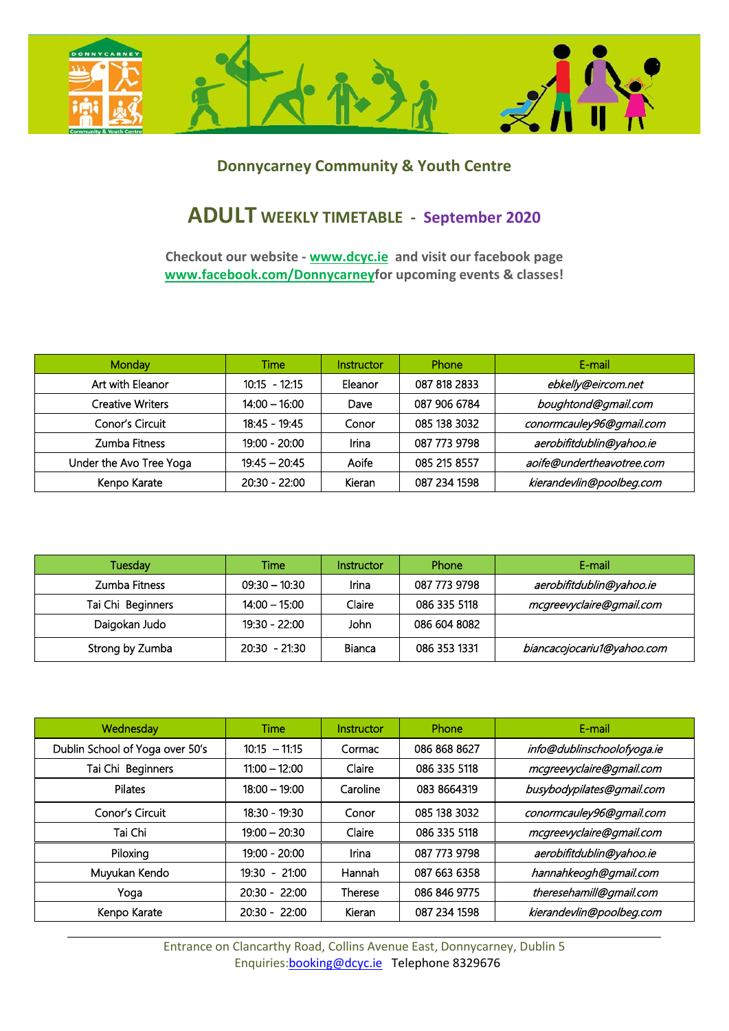

## **Donnycarney Community & Youth Centre**

## **ADULT WEEKLY TIMETABLE - September 2020**

**Checkout our website - www.dcyc.ie and visit our facebook page www.facebook.com/Donnycarneyfor upcoming events & classes!**

| Monday                  | Time            | Instructor | Phone        | E-mail                    |
|-------------------------|-----------------|------------|--------------|---------------------------|
| Art with Eleanor        | $10:15 - 12:15$ | Eleanor    | 087 818 2833 | ebkelly@eircom.net        |
| <b>Creative Writers</b> | $14:00 - 16:00$ | Dave       | 087 906 6784 | boughtond@gmail.com       |
| Conor's Circuit         | $18:45 - 19:45$ | Conor      | 085 138 3032 | conormcauley96@gmail.com  |
| Zumba Fitness           | $19:00 - 20:00$ | Irina      | 087 773 9798 | aerobifitdublin@yahoo.ie  |
| Under the Avo Tree Yoga | $19:45 - 20:45$ | Aoife      | 085 215 8557 | aoife@undertheavotree.com |
| Kenpo Karate            | $20:30 - 22:00$ | Kieran     | 087 234 1598 | kierandevlin@poolbeg.com  |

| Tuesday           | Time            | <b>Instructor</b> | Phone        | E-mail                     |
|-------------------|-----------------|-------------------|--------------|----------------------------|
| Zumba Fitness     | $09:30 - 10:30$ | Irina             | 087 773 9798 | aerobifitdublin@yahoo.ie   |
| Tai Chi Beginners | $14:00 - 15:00$ | Claire            | 086 335 5118 | mcgreevyclaire@gmail.com   |
| Daigokan Judo     | 19:30 - 22:00   | John              | 086 604 8082 |                            |
| Strong by Zumba   | $20:30 - 21:30$ | Bianca            | 086 353 1331 | biancacojocariu1@yahoo.com |

| Wednesday                       | Time            | Instructor     | Phone        | E-mail                     |
|---------------------------------|-----------------|----------------|--------------|----------------------------|
| Dublin School of Yoga over 50's | $10:15 - 11:15$ | Cormac         | 086 868 8627 | info@dublinschoolofyoga.ie |
| Tai Chi Beginners               | $11:00 - 12:00$ | Claire         | 086 335 5118 | mcgreevyclaire@gmail.com   |
| Pilates                         | $18:00 - 19:00$ | Caroline       | 083 8664319  | busybodypilates@gmail.com  |
| Conor's Circuit                 | $18:30 - 19:30$ | Conor          | 085 138 3032 | conormcauley96@gmail.com   |
| Tai Chi                         | $19:00 - 20:30$ | Claire         | 086 335 5118 | mcgreevyclaire@gmail.com   |
| Piloxing                        | $19:00 - 20:00$ | Irina          | 087 773 9798 | aerobifitdublin@yahoo.ie   |
| Muyukan Kendo                   | $19:30 - 21:00$ | Hannah         | 087 663 6358 | hannahkeogh@gmail.com      |
| Yoga                            | $20:30 - 22:00$ | <b>Therese</b> | 086 846 9775 | theresehamill@gmail.com    |
| Kenpo Karate                    | $20:30 - 22:00$ | Kieran         | 087 234 1598 | kierandevlin@poolbeg.com   |